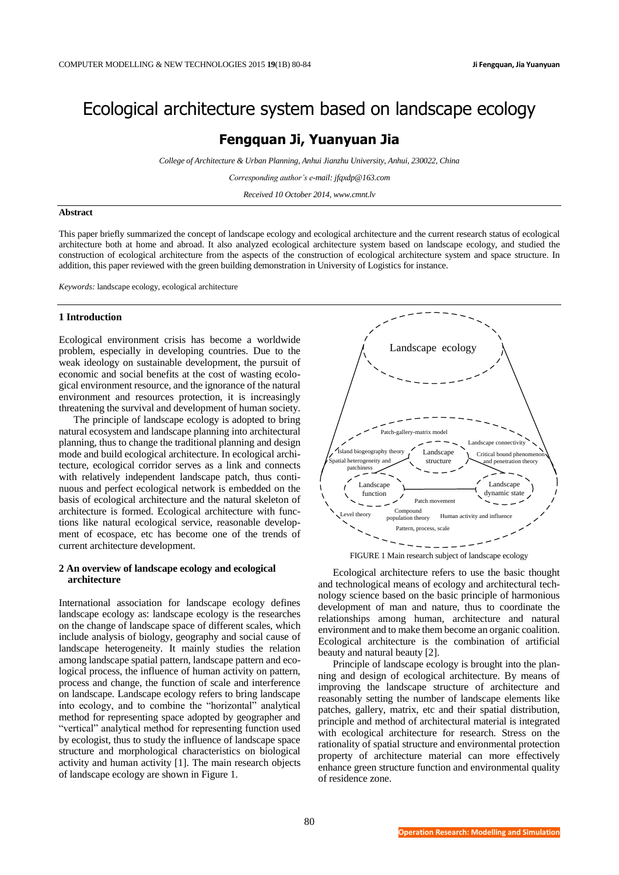# Ecological architecture system based on landscape ecology

# **Fengquan Ji, Yuanyuan Jia**

*College of Architecture & Urban Planning, Anhui Jianzhu University, Anhui, 230022, China*

*Corresponding author's e-mail: jfqxdp@163.com*

*Received 10 October 2014, www.cmnt.lv*

#### **Abstract**

This paper briefly summarized the concept of landscape ecology and ecological architecture and the current research status of ecological architecture both at home and abroad. It also analyzed ecological architecture system based on landscape ecology, and studied the construction of ecological architecture from the aspects of the construction of ecological architecture system and space structure. In addition, this paper reviewed with the green building demonstration in University of Logistics for instance.

*Keywords:* landscape ecology, ecological architecture

#### **1 Introduction**

Ecological environment crisis has become a worldwide problem, especially in developing countries. Due to the weak ideology on sustainable development, the pursuit of economic and social benefits at the cost of wasting ecological environment resource, and the ignorance of the natural environment and resources protection, it is increasingly threatening the survival and development of human society.

The principle of landscape ecology is adopted to bring natural ecosystem and landscape planning into architectural planning, thus to change the traditional planning and design mode and build ecological architecture. In ecological architecture, ecological corridor serves as a link and connects with relatively independent landscape patch, thus continuous and perfect ecological network is embedded on the basis of ecological architecture and the natural skeleton of architecture is formed. Ecological architecture with functions like natural ecological service, reasonable development of ecospace, etc has become one of the trends of current architecture development.

# **2 An overview of landscape ecology and ecological architecture**

International association for landscape ecology defines landscape ecology as: landscape ecology is the researches on the change of landscape space of different scales, which include analysis of biology, geography and social cause of landscape heterogeneity. It mainly studies the relation among landscape spatial pattern, landscape pattern and ecological process, the influence of human activity on pattern, process and change, the function of scale and interference on landscape. Landscape ecology refers to bring landscape into ecology, and to combine the "horizontal" analytical method for representing space adopted by geographer and "vertical" analytical method for representing function used by ecologist, thus to study the influence of landscape space structure and morphological characteristics on biological activity and human activity [1]. The main research objects of landscape ecology are shown in Figure 1.





Ecological architecture refers to use the basic thought and technological means of ecology and architectural technology science based on the basic principle of harmonious development of man and nature, thus to coordinate the relationships among human, architecture and natural environment and to make them become an organic coalition. Ecological architecture is the combination of artificial beauty and natural beauty [2].

Principle of landscape ecology is brought into the planning and design of ecological architecture. By means of improving the landscape structure of architecture and reasonably setting the number of landscape elements like patches, gallery, matrix, etc and their spatial distribution, principle and method of architectural material is integrated with ecological architecture for research. Stress on the rationality of spatial structure and environmental protection property of architecture material can more effectively enhance green structure function and environmental quality of residence zone.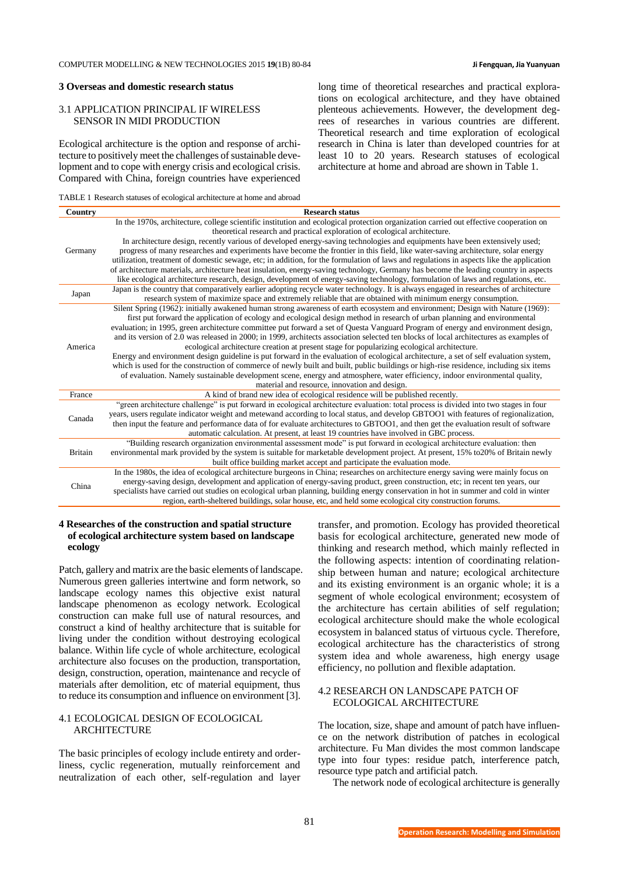### **3 Overseas and domestic research status**

# 3.1 APPLICATION PRINCIPAL IF WIRELESS SENSOR IN MIDI PRODUCTION

Ecological architecture is the option and response of architecture to positively meet the challenges of sustainable development and to cope with energy crisis and ecological crisis. Compared with China, foreign countries have experienced long time of theoretical researches and practical explorations on ecological architecture, and they have obtained plenteous achievements. However, the development degrees of researches in various countries are different. Theoretical research and time exploration of ecological research in China is later than developed countries for at least 10 to 20 years. Research statuses of ecological architecture at home and abroad are shown in Table 1.

| TABLE 1 Research statuses of ecological architecture at home and abroad |  |  |  |  |  |
|-------------------------------------------------------------------------|--|--|--|--|--|
|-------------------------------------------------------------------------|--|--|--|--|--|

| Country        | <b>Research status</b>                                                                                                                   |
|----------------|------------------------------------------------------------------------------------------------------------------------------------------|
|                | In the 1970s, architecture, college scientific institution and ecological protection organization carried out effective cooperation on   |
|                | theoretical research and practical exploration of ecological architecture.                                                               |
|                | In architecture design, recently various of developed energy-saving technologies and equipments have been extensively used;              |
| Germany        | progress of many researches and experiments have become the frontier in this field, like water-saving architecture, solar energy         |
|                | utilization, treatment of domestic sewage, etc; in addition, for the formulation of laws and regulations in aspects like the application |
|                | of architecture materials, architecture heat insulation, energy-saving technology, Germany has become the leading country in aspects     |
|                | like ecological architecture research, design, development of energy-saving technology, formulation of laws and regulations, etc.        |
| Japan          | Japan is the country that comparatively earlier adopting recycle water technology. It is always engaged in researches of architecture    |
|                | research system of maximize space and extremely reliable that are obtained with minimum energy consumption.                              |
| America        | Silent Spring (1962): initially awakened human strong awareness of earth ecosystem and environment; Design with Nature (1969):           |
|                | first put forward the application of ecology and ecological design method in research of urban planning and environmental                |
|                | evaluation; in 1995, green architecture committee put forward a set of Questa Vanguard Program of energy and environment design,         |
|                | and its version of 2.0 was released in 2000; in 1999, architects association selected ten blocks of local architectures as examples of   |
|                | ecological architecture creation at present stage for popularizing ecological architecture.                                              |
|                | Energy and environment design guideline is put forward in the evaluation of ecological architecture, a set of self evaluation system,    |
|                | which is used for the construction of commerce of newly built and built, public buildings or high-rise residence, including six items    |
|                | of evaluation. Namely sustainable development scene, energy and atmosphere, water efficiency, indoor environmental quality,              |
|                | material and resource, innovation and design.                                                                                            |
| France         | A kind of brand new idea of ecological residence will be published recently.                                                             |
|                | "green architecture challenge" is put forward in ecological architecture evaluation: total process is divided into two stages in four    |
| Canada         | years, users regulate indicator weight and metewand according to local status, and develop GBTOO1 with features of regionalization,      |
|                | then input the feature and performance data of for evaluate architectures to GBTOO1, and then get the evaluation result of software      |
|                | automatic calculation. At present, at least 19 countries have involved in GBC process.                                                   |
| <b>Britain</b> | "Building research organization environmental assessment mode" is put forward in ecological architecture evaluation: then                |
|                | environmental mark provided by the system is suitable for marketable development project. At present, 15% to20% of Britain newly         |
|                | built office building market accept and participate the evaluation mode.                                                                 |
| China          | In the 1980s, the idea of ecological architecture burgeons in China; researches on architecture energy saving were mainly focus on       |
|                | energy-saving design, development and application of energy-saving product, green construction, etc; in recent ten years, our            |
|                | specialists have carried out studies on ecological urban planning, building energy conservation in hot in summer and cold in winter      |
|                | region, earth-sheltered buildings, solar house, etc, and held some ecological city construction forums.                                  |

# **4 Researches of the construction and spatial structure of ecological architecture system based on landscape ecology**

Patch, gallery and matrix are the basic elements of landscape. Numerous green galleries intertwine and form network, so landscape ecology names this objective exist natural landscape phenomenon as ecology network. Ecological construction can make full use of natural resources, and construct a kind of healthy architecture that is suitable for living under the condition without destroying ecological balance. Within life cycle of whole architecture, ecological architecture also focuses on the production, transportation, design, construction, operation, maintenance and recycle of materials after demolition, etc of material equipment, thus to reduce its consumption and influence on environment [3].

# 4.1 ECOLOGICAL DESIGN OF ECOLOGICAL **ARCHITECTURE**

The basic principles of ecology include entirety and orderliness, cyclic regeneration, mutually reinforcement and neutralization of each other, self-regulation and layer transfer, and promotion. Ecology has provided theoretical basis for ecological architecture, generated new mode of thinking and research method, which mainly reflected in the following aspects: intention of coordinating relationship between human and nature; ecological architecture and its existing environment is an organic whole; it is a segment of whole ecological environment; ecosystem of the architecture has certain abilities of self regulation; ecological architecture should make the whole ecological ecosystem in balanced status of virtuous cycle. Therefore, ecological architecture has the characteristics of strong system idea and whole awareness, high energy usage efficiency, no pollution and flexible adaptation.

# 4.2 RESEARCH ON LANDSCAPE PATCH OF ECOLOGICAL ARCHITECTURE

The location, size, shape and amount of patch have influence on the network distribution of patches in ecological architecture. Fu Man divides the most common landscape type into four types: residue patch, interference patch, resource type patch and artificial patch.

The network node of ecological architecture is generally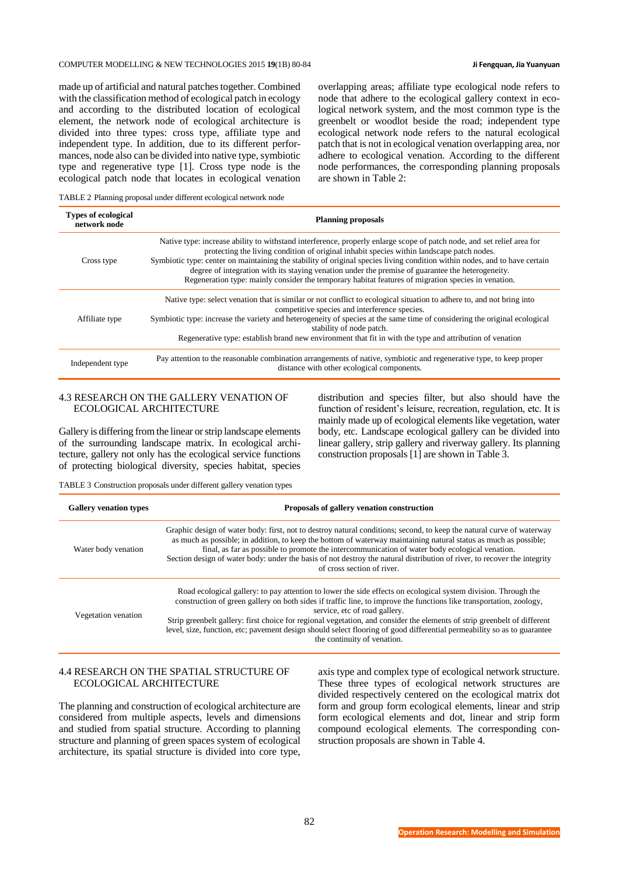# COMPUTER MODELLING & NEW TECHNOLOGIES 2015 **19**(1B) 80-84 **Ji Fengquan, Jia Yuanyuan**

made up of artificial and natural patches together. Combined with the classification method of ecological patch in ecology and according to the distributed location of ecological element, the network node of ecological architecture is divided into three types: cross type, affiliate type and independent type. In addition, due to its different performances, node also can be divided into native type, symbiotic type and regenerative type [1]. Cross type node is the ecological patch node that locates in ecological venation overlapping areas; affiliate type ecological node refers to node that adhere to the ecological gallery context in ecological network system, and the most common type is the greenbelt or woodlot beside the road; independent type ecological network node refers to the natural ecological patch that is not in ecological venation overlapping area, nor adhere to ecological venation. According to the different node performances, the corresponding planning proposals are shown in Table 2:

TABLE 2 Planning proposal under different ecological network node

| <b>Types of ecological</b><br>network node | <b>Planning proposals</b>                                                                                                                                                                                                                                                                                                                                                                                                                                                                                                                                     |
|--------------------------------------------|---------------------------------------------------------------------------------------------------------------------------------------------------------------------------------------------------------------------------------------------------------------------------------------------------------------------------------------------------------------------------------------------------------------------------------------------------------------------------------------------------------------------------------------------------------------|
| Cross type                                 | Native type: increase ability to withstand interference, properly enlarge scope of patch node, and set relief area for<br>protecting the living condition of original inhabit species within landscape patch nodes.<br>Symbiotic type: center on maintaining the stability of original species living condition within nodes, and to have certain<br>degree of integration with its staying venation under the premise of guarantee the heterogeneity.<br>Regeneration type: mainly consider the temporary habitat features of migration species in venation. |
|                                            | Native type: select venation that is similar or not conflict to ecological situation to adhere to, and not bring into<br>competitive species and interference species.                                                                                                                                                                                                                                                                                                                                                                                        |
| Affiliate type                             | Symbiotic type: increase the variety and heterogeneity of species at the same time of considering the original ecological<br>stability of node patch.                                                                                                                                                                                                                                                                                                                                                                                                         |
|                                            | Regenerative type: establish brand new environment that fit in with the type and attribution of venation                                                                                                                                                                                                                                                                                                                                                                                                                                                      |
| Independent type                           | Pay attention to the reasonable combination arrangements of native, symbiotic and regenerative type, to keep proper<br>distance with other ecological components.                                                                                                                                                                                                                                                                                                                                                                                             |

# 4.3 RESEARCH ON THE GALLERY VENATION OF ECOLOGICAL ARCHITECTURE

Gallery is differing from the linear or strip landscape elements of the surrounding landscape matrix. In ecological architecture, gallery not only has the ecological service functions of protecting biological diversity, species habitat, species distribution and species filter, but also should have the function of resident's leisure, recreation, regulation, etc. It is mainly made up of ecological elements like vegetation, water body, etc. Landscape ecological gallery can be divided into linear gallery, strip gallery and riverway gallery. Its planning construction proposals [1] are shown in Table 3.

TABLE 3 Construction proposals under different gallery venation types

| <b>Gallery venation types</b> | Proposals of gallery venation construction                                                                                                                                                                                                                                                                                                                                                                                                                                                                                                                   |  |  |
|-------------------------------|--------------------------------------------------------------------------------------------------------------------------------------------------------------------------------------------------------------------------------------------------------------------------------------------------------------------------------------------------------------------------------------------------------------------------------------------------------------------------------------------------------------------------------------------------------------|--|--|
| Water body venation           | Graphic design of water body: first, not to destroy natural conditions; second, to keep the natural curve of waterway<br>as much as possible; in addition, to keep the bottom of waterway maintaining natural status as much as possible;<br>final, as far as possible to promote the intercommunication of water body ecological venation.<br>Section design of water body: under the basis of not destroy the natural distribution of river, to recover the integrity<br>of cross section of river.                                                        |  |  |
| Vegetation venation           | Road ecological gallery: to pay attention to lower the side effects on ecological system division. Through the<br>construction of green gallery on both sides if traffic line, to improve the functions like transportation, zoology,<br>service, etc of road gallery.<br>Strip greenbelt gallery: first choice for regional vegetation, and consider the elements of strip greenbelt of different<br>level, size, function, etc; pavement design should select flooring of good differential permeability so as to guarantee<br>the continuity of venation. |  |  |

# 4.4 RESEARCH ON THE SPATIAL STRUCTURE OF ECOLOGICAL ARCHITECTURE

The planning and construction of ecological architecture are considered from multiple aspects, levels and dimensions and studied from spatial structure. According to planning structure and planning of green spaces system of ecological architecture, its spatial structure is divided into core type,

axis type and complex type of ecological network structure. These three types of ecological network structures are divided respectively centered on the ecological matrix dot form and group form ecological elements, linear and strip form ecological elements and dot, linear and strip form compound ecological elements. The corresponding construction proposals are shown in Table 4.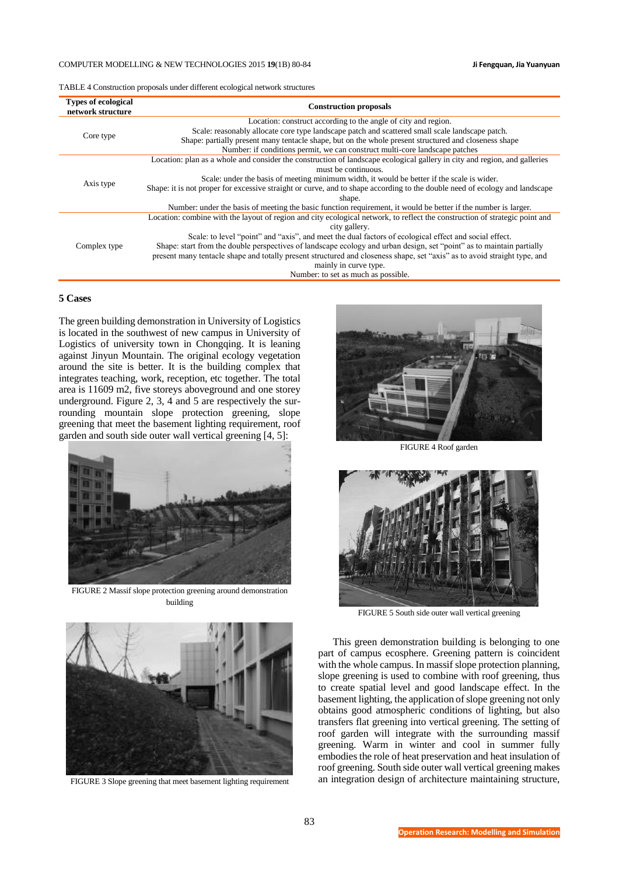## COMPUTER MODELLING & NEW TECHNOLOGIES 2015 **19**(1B) 80-84 **Ji Fengquan, Jia Yuanyuan**

TABLE 4 Construction proposals under different ecological network structures

| <b>Types of ecological</b><br>network structure | <b>Construction proposals</b>                                                                                               |  |  |
|-------------------------------------------------|-----------------------------------------------------------------------------------------------------------------------------|--|--|
| Core type                                       | Location: construct according to the angle of city and region.                                                              |  |  |
|                                                 | Scale: reasonably allocate core type landscape patch and scattered small scale landscape patch.                             |  |  |
|                                                 | Shape: partially present many tentacle shape, but on the whole present structured and closeness shape                       |  |  |
|                                                 | Number: if conditions permit, we can construct multi-core landscape patches                                                 |  |  |
| Axis type                                       | Location: plan as a whole and consider the construction of landscape ecological gallery in city and region, and galleries   |  |  |
|                                                 | must be continuous.                                                                                                         |  |  |
|                                                 | Scale: under the basis of meeting minimum width, it would be better if the scale is wider.                                  |  |  |
|                                                 | Shape: it is not proper for excessive straight or curve, and to shape according to the double need of ecology and landscape |  |  |
|                                                 | shape.                                                                                                                      |  |  |
|                                                 | Number: under the basis of meeting the basic function requirement, it would be better if the number is larger.              |  |  |
| Complex type                                    | Location: combine with the layout of region and city ecological network, to reflect the construction of strategic point and |  |  |
|                                                 | city gallery.                                                                                                               |  |  |
|                                                 | Scale: to level "point" and "axis", and meet the dual factors of ecological effect and social effect.                       |  |  |
|                                                 | Shape: start from the double perspectives of landscape ecology and urban design, set "point" as to maintain partially       |  |  |
|                                                 | present many tentacle shape and totally present structured and closeness shape, set "axis" as to avoid straight type, and   |  |  |
|                                                 | mainly in curve type.                                                                                                       |  |  |
|                                                 | Number: to set as much as possible.                                                                                         |  |  |

# **5 Cases**

The green building demonstration in University of Logistics is located in the southwest of new campus in University of Logistics of university town in Chongqing. It is leaning against Jinyun Mountain. The original ecology vegetation around the site is better. It is the building complex that integrates teaching, work, reception, etc together. The total area is 11609 m2, five storeys aboveground and one storey underground. Figure 2, 3, 4 and 5 are respectively the surrounding mountain slope protection greening, slope greening that meet the basement lighting requirement, roof garden and south side outer wall vertical greening [4, 5]:



FIGURE 2 Massif slope protection greening around demonstration building



FIGURE 3 Slope greening that meet basement lighting requirement



FIGURE 4 Roof garden



FIGURE 5 South side outer wall vertical greening

This green demonstration building is belonging to one part of campus ecosphere. Greening pattern is coincident with the whole campus. In massif slope protection planning, slope greening is used to combine with roof greening, thus to create spatial level and good landscape effect. In the basement lighting, the application of slope greening not only obtains good atmospheric conditions of lighting, but also transfers flat greening into vertical greening. The setting of roof garden will integrate with the surrounding massif greening. Warm in winter and cool in summer fully embodies the role of heat preservation and heat insulation of roof greening. South side outer wall vertical greening makes an integration design of architecture maintaining structure,